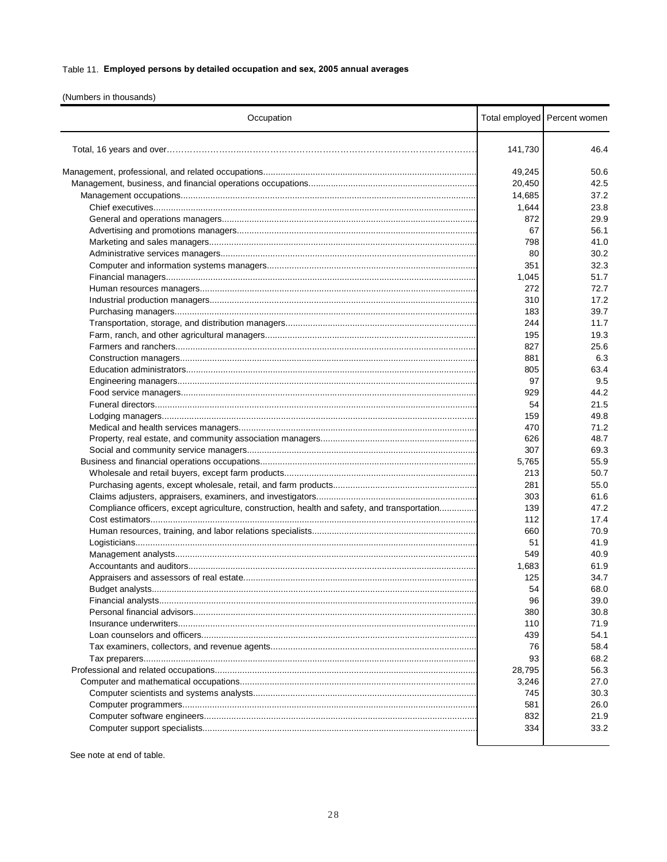## Table 11. Employed persons by detailed occupation and sex, 2005 annual averages

(Numbers in thousands)

| Occupation                                                                                   |            | Total employed Percent women |
|----------------------------------------------------------------------------------------------|------------|------------------------------|
|                                                                                              | 141,730    | 46.4                         |
|                                                                                              | 49,245     | 50.6                         |
|                                                                                              | 20,450     | 42.5                         |
|                                                                                              | 14,685     | 37.2                         |
|                                                                                              | 1,644      | 23.8                         |
|                                                                                              | 872        | 29.9                         |
|                                                                                              | 67         | 56.1                         |
|                                                                                              | 798        | 41.0                         |
|                                                                                              | 80         | 30.2                         |
|                                                                                              | 351        | 32.3                         |
|                                                                                              | 1,045      | 51.7                         |
|                                                                                              | 272        | 72.7                         |
|                                                                                              | 310        | 17.2                         |
|                                                                                              | 183        | 39.7                         |
|                                                                                              | 244        | 11.7                         |
|                                                                                              | 195        | 19.3                         |
|                                                                                              | 827        | 25.6                         |
|                                                                                              | 881        | 6.3                          |
|                                                                                              | 805        | 63.4                         |
|                                                                                              | 97         | 9.5                          |
|                                                                                              |            | 44.2                         |
|                                                                                              | 929        |                              |
|                                                                                              | 54         | 21.5                         |
|                                                                                              | 159        | 49.8                         |
|                                                                                              | 470        | 71.2<br>48.7                 |
|                                                                                              | 626<br>307 | 69.3                         |
|                                                                                              |            |                              |
|                                                                                              | 5,765      | 55.9                         |
|                                                                                              | 213        | 50.7                         |
|                                                                                              | 281        | 55.0                         |
|                                                                                              | 303        | 61.6                         |
| Compliance officers, except agriculture, construction, health and safety, and transportation | 139        | 47.2                         |
|                                                                                              | 112        | 17.4                         |
|                                                                                              | 660        | 70.9                         |
|                                                                                              | 51         | 41.9                         |
|                                                                                              | 549        | 40.9                         |
|                                                                                              | 1,683      | 61.9                         |
|                                                                                              | 125        | 34.7                         |
|                                                                                              | 54         | 68.0                         |
|                                                                                              | 96         | 39.0                         |
|                                                                                              | 380        | 30.8                         |
|                                                                                              | 110        | 71.9                         |
|                                                                                              | 439        | 54.1                         |
|                                                                                              | 76         | 58.4                         |
|                                                                                              | 93         | 68.2                         |
|                                                                                              | 28,795     | 56.3                         |
|                                                                                              | 3,246      | 27.0                         |
|                                                                                              | 745        | 30.3                         |
|                                                                                              | 581        | 26.0                         |
|                                                                                              | 832        | 21.9                         |
|                                                                                              | 334        | 33.2                         |
|                                                                                              |            |                              |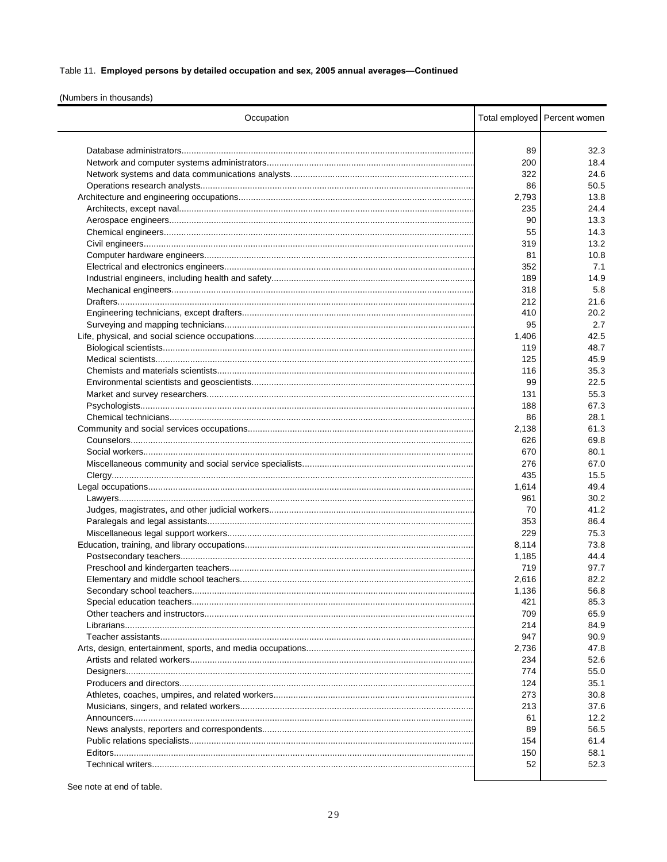## Table 11. Employed persons by detailed occupation and sex, 2005 annual averages-Continued

(Numbers in thousands)

| Occupation |       | Total employed Percent women |
|------------|-------|------------------------------|
|            | 89    | 32.3                         |
|            |       | 18.4                         |
|            | 200   |                              |
|            | 322   | 24.6                         |
|            | 86    | 50.5                         |
|            | 2,793 | 13.8                         |
|            | 235   | 24.4                         |
|            | 90    | 13.3                         |
|            | 55    | 14.3                         |
|            | 319   | 13.2                         |
|            | 81    | 10.8                         |
|            | 352   | 7.1                          |
|            | 189   | 14.9                         |
|            | 318   | 5.8                          |
|            | 212   | 21.6                         |
|            | 410   | 20.2                         |
|            | 95    | 2.7                          |
|            | 1,406 | 42.5                         |
|            | 119   | 48.7                         |
|            | 125   | 45.9                         |
|            | 116   | 35.3                         |
|            | 99    | 22.5                         |
|            | 131   | 55.3                         |
|            | 188   | 67.3                         |
|            | 86    | 28.1                         |
|            | 2,138 | 61.3                         |
|            | 626   | 69.8                         |
|            | 670   | 80.1                         |
|            | 276   | 67.0                         |
|            | 435   | 15.5                         |
|            | 1,614 | 49.4                         |
|            | 961   | 30.2                         |
|            | 70    | 41.2                         |
|            | 353   | 86.4                         |
|            | 229   | 75.3                         |
|            | 8,114 | 73.8                         |
|            | 1,185 | 44.4                         |
|            | 719   | 97.7                         |
|            | 2,616 | 82.2                         |
|            | 1,136 |                              |
|            | 421   | 56.8<br>85.3                 |
|            |       |                              |
|            | 709   | 65.9                         |
|            | 214   | 84.9                         |
|            | 947   | 90.9                         |
|            | 2,736 | 47.8                         |
|            | 234   | 52.6                         |
|            | 774   | 55.0                         |
|            | 124   | 35.1                         |
|            | 273   | 30.8                         |
|            | 213   | 37.6                         |
|            | 61    | 12.2                         |
|            | 89    | 56.5                         |
|            | 154   | 61.4                         |
|            | 150   | 58.1                         |
|            | 52    | 52.3                         |
|            |       |                              |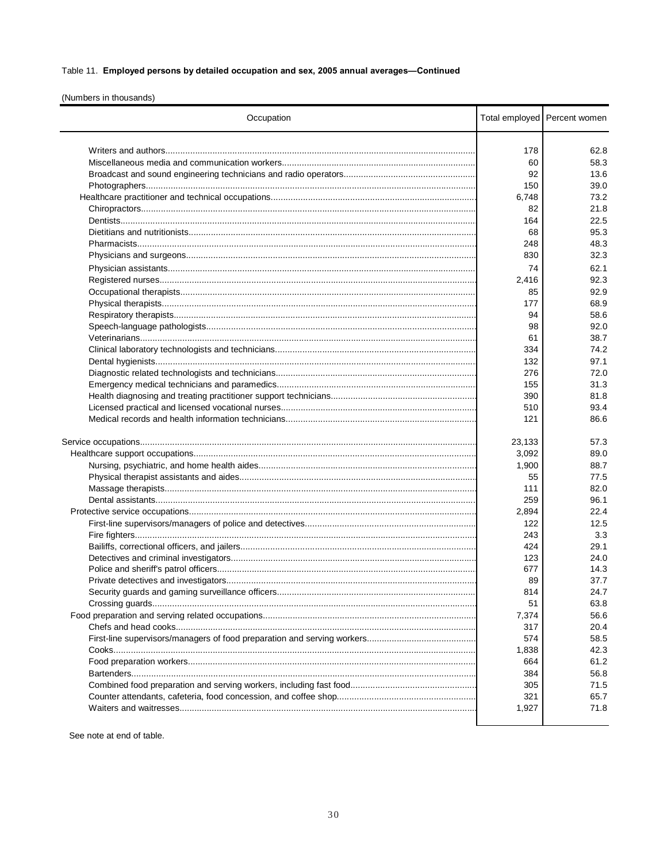# Table 11. Employed persons by detailed occupation and sex, 2005 annual averages-Continued

(Numbers in thousands)

| Occupation |        | Total employed Percent women |
|------------|--------|------------------------------|
|            | 178    | 62.8                         |
|            | 60     | 58.3                         |
|            | 92     | 13.6                         |
|            | 150    | 39.0                         |
|            | 6,748  | 73.2                         |
|            | 82     | 21.8                         |
|            | 164    | 22.5                         |
|            | 68     | 95.3                         |
|            | 248    | 48.3                         |
|            | 830    | 32.3                         |
|            |        |                              |
|            | 74     | 62.1                         |
|            | 2,416  | 92.3                         |
|            | 85     | 92.9                         |
|            | 177    | 68.9                         |
|            | 94     | 58.6                         |
|            | 98     | 92.0                         |
|            | 61     | 38.7                         |
|            | 334    | 74.2                         |
|            | 132    | 97.1                         |
|            | 276    | 72.0                         |
|            | 155    | 31.3                         |
|            | 390    | 81.8                         |
|            | 510    | 93.4                         |
|            | 121    | 86.6                         |
|            |        |                              |
|            | 23,133 | 57.3                         |
|            | 3,092  | 89.0                         |
|            | 1,900  | 88.7                         |
|            | 55     | 77.5                         |
|            | 111    | 82.0                         |
|            | 259    | 96.1                         |
|            | 2,894  | 22.4                         |
|            | 122    | 12.5                         |
|            | 243    | 3.3                          |
|            | 424    | 29.1                         |
|            | 123    | 24.0                         |
|            | 677    | 14.3                         |
|            | 89     | 37.7                         |
|            | 814    | 24.7                         |
|            | 51     | 63.8                         |
|            | 7,374  | 56.6                         |
|            | 317    | 20.4                         |
|            | 574    | 58.5                         |
|            | 1,838  | 42.3                         |
|            | 664    | 61.2                         |
|            | 384    | 56.8                         |
|            | 305    | 71.5                         |
|            | 321    | 65.7                         |
|            | 1,927  | 71.8                         |
|            |        |                              |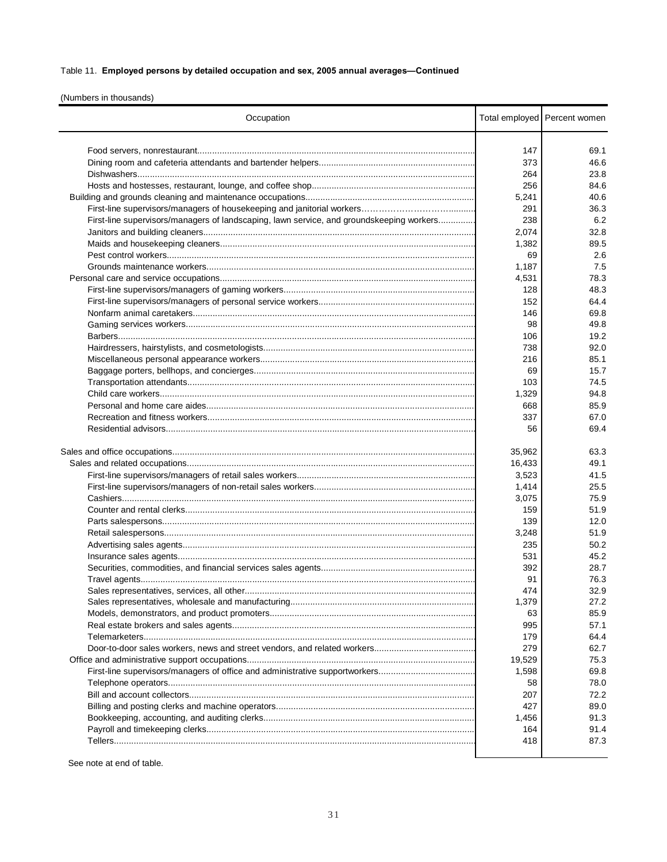# Table 11. Employed persons by detailed occupation and sex, 2005 annual averages-Continued

(Numbers in thousands)

| Occupation                                                                               |        | Total employed Percent women |
|------------------------------------------------------------------------------------------|--------|------------------------------|
|                                                                                          | 147    | 69.1                         |
|                                                                                          | 373    | 46.6                         |
|                                                                                          |        |                              |
|                                                                                          | 264    | 23.8                         |
|                                                                                          | 256    | 84.6                         |
|                                                                                          | 5,241  | 40.6                         |
|                                                                                          | 291    | 36.3                         |
| First-line supervisors/managers of landscaping, lawn service, and groundskeeping workers | 238    | 6.2                          |
|                                                                                          | 2,074  | 32.8                         |
|                                                                                          | 1,382  | 89.5                         |
|                                                                                          | 69     | 2.6                          |
|                                                                                          | 1,187  | 7.5                          |
|                                                                                          | 4,531  | 78.3                         |
|                                                                                          | 128    | 48.3                         |
|                                                                                          | 152    | 64.4                         |
|                                                                                          | 146    | 69.8                         |
|                                                                                          | 98     | 49.8                         |
|                                                                                          | 106    | 19.2                         |
|                                                                                          | 738    | 92.0                         |
|                                                                                          | 216    | 85.1                         |
|                                                                                          | 69     | 15.7                         |
|                                                                                          | 103    | 74.5                         |
|                                                                                          | 1,329  | 94.8                         |
|                                                                                          | 668    | 85.9                         |
|                                                                                          | 337    | 67.0                         |
|                                                                                          |        | 69.4                         |
|                                                                                          | 56     |                              |
|                                                                                          | 35,962 | 63.3                         |
|                                                                                          | 16,433 | 49.1                         |
|                                                                                          | 3,523  | 41.5                         |
|                                                                                          | 1,414  | 25.5                         |
|                                                                                          | 3,075  | 75.9                         |
|                                                                                          | 159    | 51.9                         |
|                                                                                          | 139    | 12.0                         |
|                                                                                          | 3,248  | 51.9                         |
|                                                                                          | 235    | 50.2                         |
|                                                                                          | 531    | 45.2                         |
|                                                                                          | 392    | 28.7                         |
|                                                                                          | 91     | 76.3                         |
|                                                                                          | 474    | 32.9                         |
|                                                                                          | 1,379  | 27.2                         |
|                                                                                          | 63     | 85.9                         |
|                                                                                          | 995    | 57.1                         |
|                                                                                          | 179    | 64.4                         |
|                                                                                          | 279    | 62.7                         |
|                                                                                          | 19,529 | 75.3                         |
|                                                                                          | 1,598  | 69.8                         |
|                                                                                          | 58     | 78.0                         |
|                                                                                          | 207    | 72.2                         |
|                                                                                          | 427    | 89.0                         |
|                                                                                          | 1,456  | 91.3                         |
|                                                                                          |        |                              |
|                                                                                          | 164    | 91.4                         |
|                                                                                          | 418    | 87.3                         |
|                                                                                          |        |                              |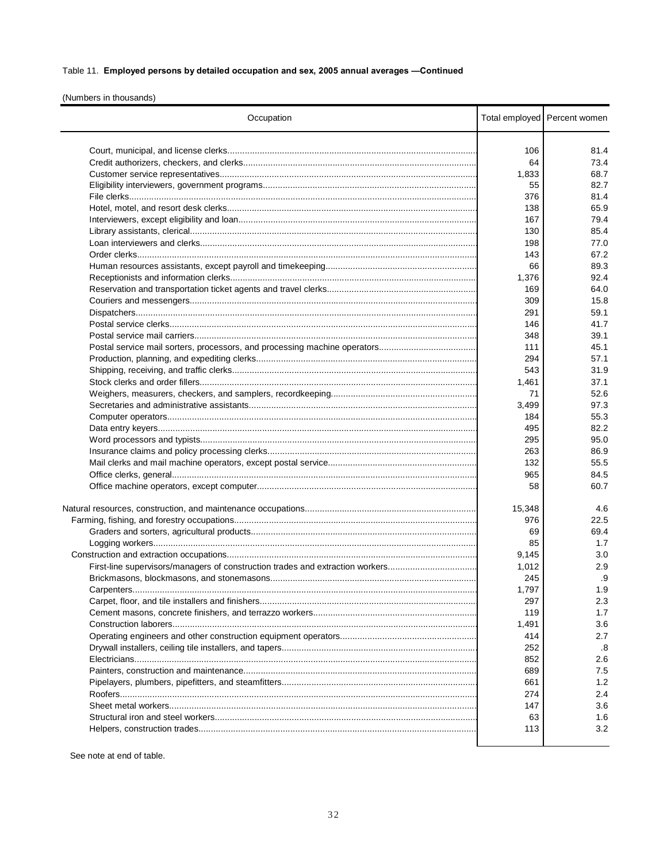## Table 11. Employed persons by detailed occupation and sex, 2005 annual averages -Continued

(Numbers in thousands)

| Occupation                                                                    |            | Total employed Percent women |
|-------------------------------------------------------------------------------|------------|------------------------------|
|                                                                               | 106        | 81.4                         |
|                                                                               | 64         | 73.4                         |
|                                                                               | 1,833      | 68.7                         |
|                                                                               | 55         | 82.7                         |
|                                                                               | 376        | 81.4                         |
|                                                                               | 138        | 65.9                         |
|                                                                               | 167        | 79.4                         |
|                                                                               | 130        | 85.4                         |
|                                                                               | 198        | 77.0                         |
|                                                                               | 143        | 67.2                         |
|                                                                               | 66         | 89.3                         |
|                                                                               | 1,376      | 92.4                         |
|                                                                               | 169        | 64.0                         |
|                                                                               | 309        | 15.8                         |
|                                                                               | 291        | 59.1                         |
|                                                                               | 146        | 41.7                         |
|                                                                               | 348        | 39.1                         |
|                                                                               | 111        | 45.1                         |
|                                                                               | 294        | 57.1                         |
|                                                                               | 543        | 31.9                         |
|                                                                               | 1,461      | 37.1                         |
|                                                                               | 71         | 52.6                         |
|                                                                               |            | 97.3                         |
|                                                                               | 3,499      | 55.3                         |
|                                                                               | 184<br>495 | 82.2                         |
|                                                                               |            | 95.0                         |
|                                                                               | 295        |                              |
|                                                                               | 263        | 86.9                         |
|                                                                               | 132        | 55.5                         |
|                                                                               | 965        | 84.5                         |
|                                                                               | 58         | 60.7                         |
|                                                                               | 15,348     | 4.6                          |
|                                                                               | 976        | 22.5                         |
|                                                                               | 69         | 69.4                         |
|                                                                               | 85         | 1.7                          |
|                                                                               | 9,145      | 3.0                          |
| First-line supervisors/managers of construction trades and extraction workers | 1,012      | 2.9                          |
|                                                                               | 245        | .9                           |
|                                                                               | 1,797      | 1.9                          |
|                                                                               | 297        | 2.3                          |
|                                                                               | 119        | 1.7                          |
|                                                                               | 1,491      | 3.6                          |
|                                                                               | 414        | 2.7                          |
|                                                                               | 252        | .8                           |
|                                                                               | 852        | 2.6                          |
|                                                                               | 689        | 7.5                          |
|                                                                               | 661        | 1.2                          |
|                                                                               | 274        | 2.4                          |
|                                                                               | 147        | 3.6                          |
|                                                                               | 63         | 1.6                          |
|                                                                               | 113        | 3.2                          |
|                                                                               |            |                              |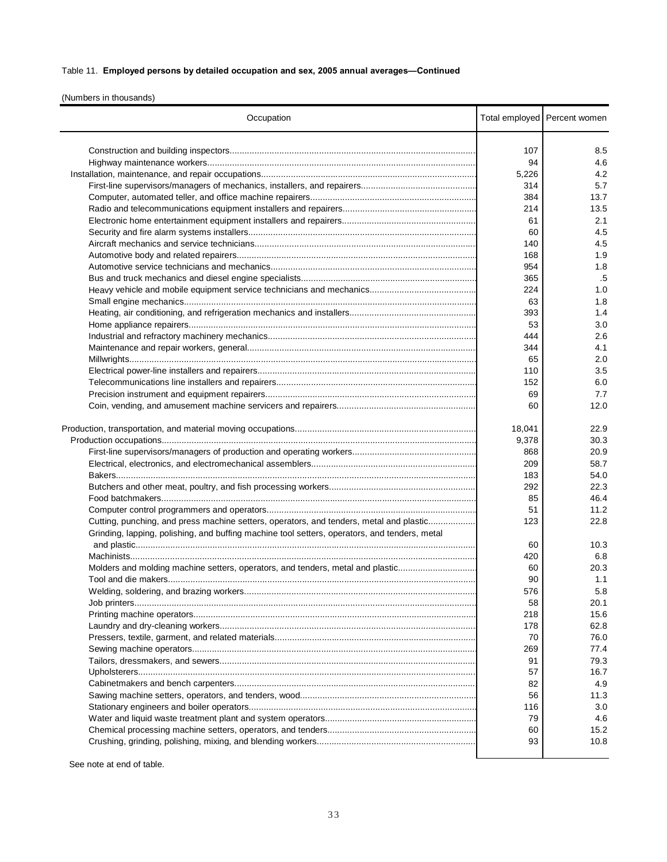## Table 11. **Employed persons by detailed occupation and sex, 2005 annual averages—Continued**

(Numbers in thousands)

| Occupation                                                                                    |        | Total employed Percent women |
|-----------------------------------------------------------------------------------------------|--------|------------------------------|
|                                                                                               |        |                              |
|                                                                                               | 107    | 8.5                          |
|                                                                                               | 94     | 4.6                          |
|                                                                                               | 5,226  | 4.2                          |
|                                                                                               | 314    | 5.7                          |
|                                                                                               | 384    | 13.7                         |
|                                                                                               | 214    | 13.5                         |
|                                                                                               | 61     | 2.1                          |
|                                                                                               | 60     | 4.5                          |
|                                                                                               | 140    | 4.5                          |
|                                                                                               | 168    | 1.9                          |
|                                                                                               | 954    | 1.8                          |
|                                                                                               | 365    | .5                           |
|                                                                                               | 224    | 1.0                          |
|                                                                                               | 63     | 1.8                          |
|                                                                                               | 393    | 1.4                          |
|                                                                                               | 53     | 3.0                          |
|                                                                                               | 444    | 2.6                          |
|                                                                                               | 344    | 4.1                          |
|                                                                                               | 65     | 2.0                          |
|                                                                                               | 110    | 3.5                          |
|                                                                                               | 152    | 6.0                          |
|                                                                                               | 69     | 7.7                          |
|                                                                                               | 60     | 12.0                         |
|                                                                                               |        |                              |
|                                                                                               | 18,041 | 22.9                         |
|                                                                                               | 9,378  | 30.3                         |
|                                                                                               | 868    | 20.9                         |
|                                                                                               | 209    | 58.7                         |
|                                                                                               | 183    | 54.0                         |
|                                                                                               | 292    | 22.3                         |
|                                                                                               | 85     | 46.4                         |
|                                                                                               | 51     | 11.2                         |
| Cutting, punching, and press machine setters, operators, and tenders, metal and plastic       | 123    | 22.8                         |
| Grinding, lapping, polishing, and buffing machine tool setters, operators, and tenders, metal |        |                              |
|                                                                                               | 60     | 10.3                         |
|                                                                                               | 420    | 6.8                          |
| Molders and molding machine setters, operators, and tenders, metal and plastic                | 60     | 20.3                         |
|                                                                                               | 90     | 1.1                          |
|                                                                                               | 576    | 5.8                          |
|                                                                                               | 58     | 20.1                         |
|                                                                                               | 218    | 15.6                         |
|                                                                                               | 178    | 62.8                         |
|                                                                                               | 70     | 76.0                         |
|                                                                                               | 269    | 77.4                         |
|                                                                                               | 91     | 79.3                         |
|                                                                                               | 57     | 16.7                         |
|                                                                                               | 82     | 4.9                          |
|                                                                                               | 56     | 11.3                         |
|                                                                                               | 116    | 3.0                          |
|                                                                                               | 79     | 4.6                          |
|                                                                                               | 60     | 15.2                         |
|                                                                                               | 93     | 10.8                         |
|                                                                                               |        |                              |